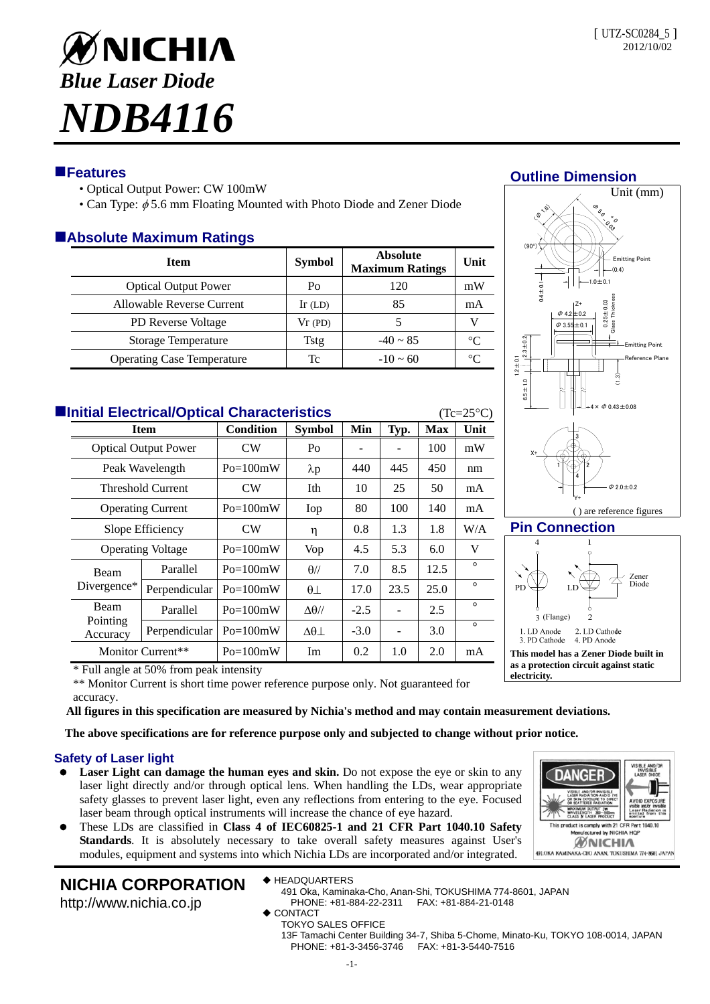

# **Features**

- Optical Output Power: CW 100mW
- Can Type:  $\phi$  5.6 mm Floating Mounted with Photo Diode and Zener Diode

# **Absolute Maximum Ratings**

| <b>Item</b>                       | <b>Symbol</b> | <b>Absolute</b><br><b>Maximum Ratings</b> | Unit    |
|-----------------------------------|---------------|-------------------------------------------|---------|
| <b>Optical Output Power</b>       | Po            | 120                                       | mW      |
| Allowable Reverse Current         | $Ir$ (LD)     | 85                                        | mA      |
| <b>PD</b> Reverse Voltage         | Vr(PD)        |                                           |         |
| Storage Temperature               | Tstg          | $-40 \sim 85$                             | $\circ$ |
| <b>Operating Case Temperature</b> | Tc            | $-10 \sim 60$                             | ∘∩      |

| <b>Elnitial Electrical/Optical Characteristics</b><br>$(Tc=25^{\circ}C)$ |                                                |                          |                  |                   |        |      |            |         |  |  |
|--------------------------------------------------------------------------|------------------------------------------------|--------------------------|------------------|-------------------|--------|------|------------|---------|--|--|
|                                                                          | <b>Item</b>                                    |                          | <b>Condition</b> | Symbol            | Min    | Typ. | <b>Max</b> | Unit    |  |  |
|                                                                          | <b>Optical Output Power</b><br>Peak Wavelength |                          | CW               | Po                |        |      | 100        | mW      |  |  |
|                                                                          |                                                |                          | $Po=100mW$       | $\lambda p$       | 440    | 445  | 450        | nm      |  |  |
|                                                                          |                                                | <b>Threshold Current</b> | CW               | Ith               | 10     | 25   | 50         | mA      |  |  |
|                                                                          | <b>Operating Current</b>                       |                          | $Po=100mW$       | Iop               | 80     | 100  | 140        | mA      |  |  |
|                                                                          | Slope Efficiency                               |                          | CW <sub></sub>   | η                 | 0.8    | 1.3  | 1.8        | W/A     |  |  |
|                                                                          | <b>Operating Voltage</b>                       |                          | $Po=100mW$       | Vop               | 4.5    | 5.3  | 6.0        | V       |  |  |
|                                                                          | Beam<br>Divergence*                            | Parallel                 | $Po=100mW$       | $\theta$ //       | 7.0    | 8.5  | 12.5       | $\circ$ |  |  |
|                                                                          |                                                | Perpendicular            | $Po=100mW$       | $\theta\perp$     | 17.0   | 23.5 | 25.0       | $\circ$ |  |  |
|                                                                          | <b>Beam</b><br>Pointing<br>Accuracy            | Parallel                 | $Po=100mW$       | $\Delta\theta$ // | $-2.5$ |      | 2.5        | $\circ$ |  |  |
|                                                                          |                                                | Perpendicular            | $Po=100mW$       | $\Delta\theta$    | $-3.0$ |      | 3.0        | $\circ$ |  |  |
|                                                                          | Monitor Current**                              |                          | $Po=100mW$       | Im                | 0.2    | 1.0  | 2.0        | mA      |  |  |



**Pin Connection**



**as a protection circuit against static** 

**DANGE** 

MAXIMUM OUTPUT 3W<br>WAVELENGTH 380~500mm<br>CLASS N LASER PRODUCT This product is comply with 21 CFR Part 1040.10 red by NICHIA HO **MNICHIA** 491. OKA KAMINAKA CHO ANAN, TOKUSHIMA 774-8601 JAPAN

**electricity.**

( ) are reference figures

\* Full angle at 50% from peak intensity

\*\* Monitor Current is short time power reference purpose only. Not guaranteed for accuracy.

**All figures in this specification are measured by Nichia's method and may contain measurement deviations.**

**The above specifications are for reference purpose only and subjected to change without prior notice.** 

### **Safety of Laser light**

- **Laser Light can damage the human eyes and skin.** Do not expose the eye or skin to any laser light directly and/or through optical lens. When handling the LDs, wear appropriate safety glasses to prevent laser light, even any reflections from entering to the eye. Focused laser beam through optical instruments will increase the chance of eye hazard.
- These LDs are classified in **Class 4 of IEC60825-1 and 21 CFR Part 1040.10 Safety Standards**. It is absolutely necessary to take overall safety measures against User's modules, equipment and systems into which Nichia LDs are incorporated and/or integrated.

# **NICHIA CORPORATION**

http://www.nichia.co.jp

◆ HEADQUARTERS

- 491 Oka, Kaminaka-Cho, Anan-Shi, TOKUSHIMA 774-8601, JAPAN PHONE: +81-884-22-2311 FAX: +81-884-21-0148
- ◆ CONTACT
	- TOKYO SALES OFFICE

13F Tamachi Center Building 34-7, Shiba 5-Chome, Minato-Ku, TOKYO 108-0014, JAPAN PHONE: +81-3-3456-3746 FAX: +81-3-5440-7516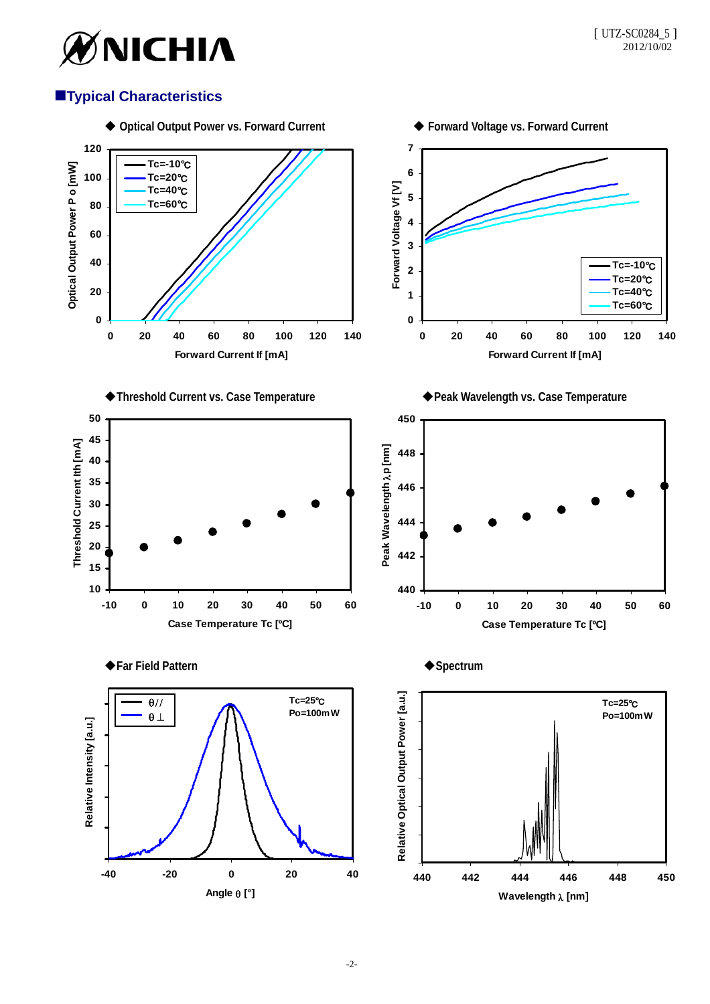

# **Typical Characteristics**